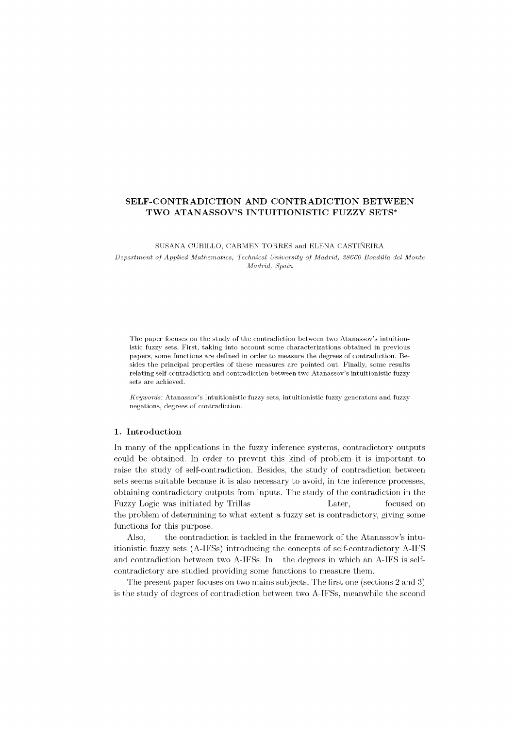# **SELF-CONTRADICTION AND CONTRADICTION BETWEEN TWO ATANASSOV'S INTUITIONISTIC FUZZY SETS\***

#### SUSANA CUBILLO, CARMEN TORRES and ELENA CASTINEIRA

*Department of Applied Mathematics, Technical University of Madrid, 28660 Boadilla del Monte Madrid, Spain* 

The paper focuses on the study of the contradiction between two Atanassov's intuitionistic fuzzy sets. First, taking into account some characterizations obtained in previous papers, some functions are defined in order to measure the degrees of contradiction. Besides the principal properties of these measures are pointed out. Finally, some results relating self-contradiction and contradiction between two Atanassov's intuitionistic fuzzy sets are achieved.

*Keywords:* Atanassov's Intuitionistic fuzzy sets, intuitionistic fuzzy generators and fuzzy negations, degrees of contradiction.

# **1. Introduction**

In many of the applications in the fuzzy inference systems, contradictory outputs could be obtained. In order to prevent this kind of problem it is important to raise the study of self-contradiction. Besides, the study of contradiction between sets seems suitable because it is also necessary to avoid, in the inference processes, obtaining contradictory outputs from inputs. The study of the contradiction in the Fuzzy Logic was initiated by Trillas Later, focused on the problem of determining to what extent a fuzzy set is contradictory, giving some functions for this purpose.

Also, the contradiction is tackled in the framework of the Atanassov's intuitionistic fuzzy sets (A-IFSs) introducing the concepts of self-contradictory A-IFS and contradiction between two A-IFSs. In the degrees in which an A-IFS is selfcontradictory are studied providing some functions to measure them.

The present paper focuses on two mains subjects. The first one (sections 2 and 3) is the study of degrees of contradiction between two A-IFSs, meanwhile the second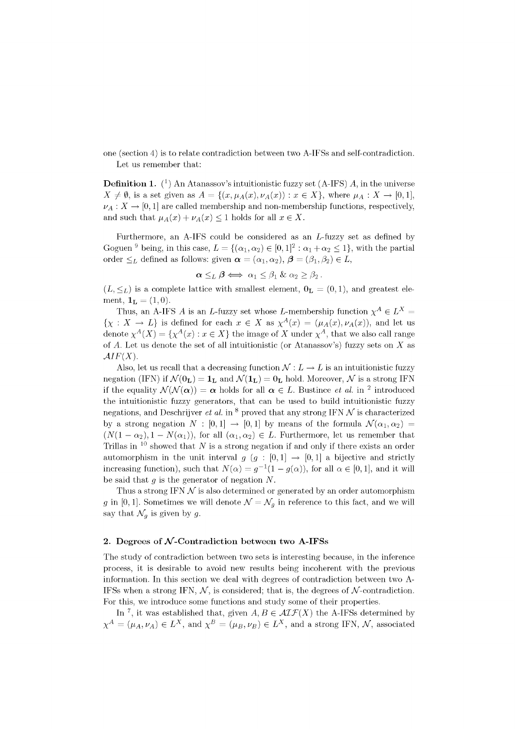one (section 4) is to relate contradiction between two A-IFSs and self-contradiction. Let us remember that:

**Definition 1.** *(<sup>1</sup> )* An Atanassov's intuitionistic fuzzy set (A-IFS) *A,* in the universe  $X \neq \emptyset$ , is a set given as  $A = \{(x, \mu_A(x), \nu_A(x)) : x \in X\}$ , where  $\mu_A : X \to [0,1]$ ,  $\nu_A: X \to [0,1]$  are called membership and non-membership functions, respectively, and such that  $\mu_A(x) + \nu_A(x) \leq 1$  holds for all  $x \in X$ .

Furthermore, an A-IFS could be considered as an L-fuzzy set as defined by Goguen<sup>9</sup> being, in this case,  $L = \{(\alpha_1, \alpha_2) \in [0, 1]^2 : \alpha_1 + \alpha_2 \le 1\}$ , with the partial order  $\leq_L$  defined as follows: given  $\boldsymbol{\alpha} = (\alpha_1, \alpha_2), \boldsymbol{\beta} = (\beta_1, \beta_2) \in L$ ,

$$
\alpha \leq_L \beta \iff \alpha_1 \leq \beta_1 \& \alpha_2 \geq \beta_2.
$$

 $(L, \leq_L)$  is a complete lattice with smallest element,  $0_L = (0, 1)$ , and greatest element,  $1_L = (1, 0)$ .

Thus, an A-IFS A is an L-fuzzy set whose L-membership function  $\chi^A \in L^X$  =  $\{\chi : X \to L\}$  is defined for each  $x \in X$  as  $\chi^A(x) = (\mu_A(x), \nu_A(x))$ , and let us denote  $\chi^A(X) = \{\chi^A(x) : x \in X\}$  the image of X under  $\chi^A$ , that we also call range of *A.* Let us denote the set of all intuitionistic (or Atanassov's) fuzzy sets on *X* as  $AIF(X)$ .

Also, let us recall that a decreasing function  $\mathcal{N}: L \to L$  is an intuitionistic fuzzy negation (IFN) if  $\mathcal{N}(\mathbf{0}_L) = \mathbf{1}_L$  and  $\mathcal{N}(\mathbf{1}_L) = \mathbf{0}_L$  hold. Moreover,  $\mathcal{N}$  is a strong IFN if the equality  $\mathcal{N}(\mathcal{N}(\alpha)) = \alpha$  holds for all  $\alpha \in L$ . Bustince *et al.* in <sup>2</sup> introduced the intuitionistic fuzzy generators, that can be used to build intuitionistic fuzzy negations, and Deschrijver *et al.* in <sup>8</sup> proved that any strong IFN  $\mathcal N$  is characterized by a strong negation  $N : [0,1] \rightarrow [0,1]$  by means of the formula  $\mathcal{N}(\alpha_1, \alpha_2)$  $(N(1-\alpha_2),1-N(\alpha_1))$ , for all  $(\alpha_1,\alpha_2)\in L$ . Furthermore, let us remember that Trillas in <sup>10</sup> showed that N is a strong negation if and only if there exists an order automorphism in the unit interval  $g$  ( $g$  : [0,1]  $\rightarrow$  [0,1] a bijective and strictly increasing function), such that  $N(\alpha) = g^{-1}(1 - g(\alpha))$ , for all  $\alpha \in [0,1]$ , and it will be said that *g* is the generator of negation *N.* 

Thus a strong IFN  $\mathcal N$  is also determined or generated by an order automorphism *g* in [0,1]. Sometimes we will denote  $\mathcal{N} = \mathcal{N}_g$  in reference to this fact, and we will say that  $\mathcal{N}_q$  is given by g.

# 2. Degrees of  $N$ -Contradiction between two A-IFSs

The study of contradiction between two sets is interesting because, in the inference process, it is desirable to avoid new results being incoherent with the previous information. In this section we deal with degrees of contradiction between two A-IFSs when a strong IFN,  $\mathcal{N}$ , is considered; that is, the degrees of  $\mathcal{N}$ -contradiction. For this, we introduce some functions and study some of their properties.

In<sup>7</sup>, it was established that, given  $A, B \in \mathcal{AIF}(X)$  the A-IFSs determined by  $\chi^A = (\mu_A, \nu_A) \in L^X$ , and  $\chi^B = (\mu_B, \nu_B) \in L^X$ , and a strong IFN, N, associated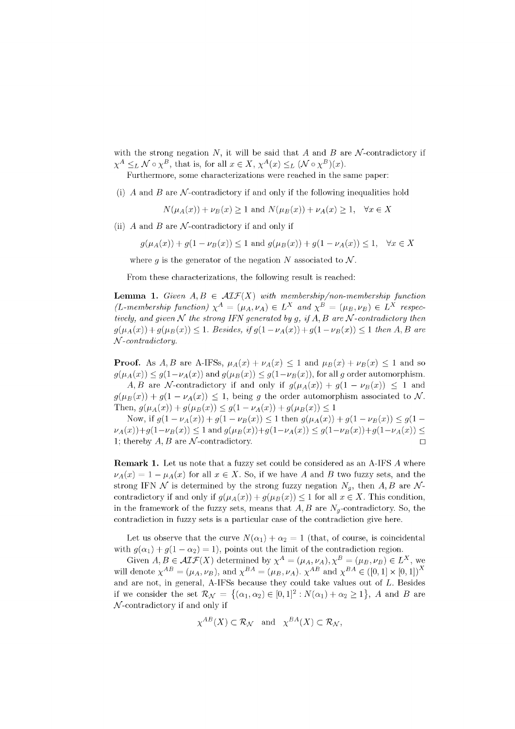with the strong negation  $N$ , it will be said that  $A$  and  $B$  are  $N$ -contradictory if  $\chi^A \leq_L N \circ \chi^B$ , that is, for all  $x \in X$ ,  $\chi^A(x) \leq_L (N \circ \chi^B)(x)$ .

Furthermore, some characterizations were reached in the same paper:

(i)  $\vec{A}$  and  $\vec{B}$  are  $\vec{N}$ -contradictory if and only if the following inequalities hold

$$
N(\mu_A(x)) + \nu_B(x) \ge 1 \text{ and } N(\mu_B(x)) + \nu_A(x) \ge 1, \quad \forall x \in X
$$

(ii)  $\vec{A}$  and  $\vec{B}$  are  $\vec{N}$ -contradictory if and only if

 $g(\mu_A(x)) + g(1 - \nu_B(x)) \leq 1$  and  $g(\mu_B(x)) + g(1 - \nu_A(x)) \leq 1$ ,  $\forall x \in X$ 

where g is the generator of the negation N associated to  $\mathcal N$ .

From these characterizations, the following result is reached:

**Lemma 1.** Given  $A, B \in \mathcal{AIF}(X)$  with membership/non-membership function  $(L$ -membership function)  $\chi^A = (\mu_A, \nu_A) \in L^X$  and  $\chi^B = (\mu_B, \nu_B) \in L^X$  respec*tively, and given*  $N$  *the strong IFN generated by g, if A, B are*  $N$ -*contradictory then*  $g(\mu_A(x)) + g(\mu_B(x)) \leq 1$ . Besides, if  $g(1 - \nu_A(x)) + g(1 - \nu_B(x)) \leq 1$  then A, B are  $N$ -contradictory.

**Proof.** As A, B are A-IFSs,  $\mu_A(x) + \nu_A(x) \leq 1$  and  $\mu_B(x) + \nu_B(x) \leq 1$  and so  $g(\mu_A(x)) \leq g(1-\nu_A(x))$  and  $g(\mu_B(x)) \leq g(1-\nu_B(x))$ , for all g order automorphism. *A, B* are N-contradictory if and only if  $g(\mu_A(x)) + g(1 - \nu_B(x)) \leq 1$  and

 $g(\mu_B(x)) + g(1 - \nu_A(x)) \leq 1$ , being g the order automorphism associated to N. Then,  $g(\mu_A(x)) + g(\mu_B(x)) \leq g(1 - \nu_A(x)) + g(\mu_B(x)) \leq 1$ 

Now, if  $g(1 - \nu_A(x)) + g(1 - \nu_B(x)) \leq 1$  then  $g(\mu_A(x)) + g(1 - \nu_B(x)) \leq g(1 - \nu_B(x))$  $\nu_A(x)+g(1-\nu_B(x)) \leq 1$  and  $g(\mu_B(x))+g(1-\nu_A(x)) \leq g(1-\nu_B(x))+g(1-\nu_A(x)) \leq$ 1; thereby  $A, B$  are  $\mathcal N$ -contradictory.

**Remark 1.** Let us note that a fuzzy set could be considered as an A-IFS A where  $\nu_A(x) = 1 - \mu_A(x)$  for all  $x \in X$ . So, if we have *A* and *B* two fuzzy sets, and the strong IFN  $\mathcal N$  is determined by the strong fuzzy negation  $N_g$ , then  $A, B$  are  $\mathcal N$ contradictory if and only if  $g(\mu_A(x)) + g(\mu_B(x)) \leq 1$  for all  $x \in X$ . This condition, in the framework of the fuzzy sets, means that  $A, B$  are  $N_q$ -contradictory. So, the contradiction in fuzzy sets is a particular case of the contradiction give here.

Let us observe that the curve  $N(\alpha_1) + \alpha_2 = 1$  (that, of course, is coincidental with  $g(\alpha_1) + g(1 - \alpha_2) = 1$ , points out the limit of the contradiction region.

Given  $A, B \in \mathcal{AIF}(X)$  determined by  $\chi^A = (\mu_A, \nu_A), \chi^B = (\mu_B, \nu_B) \in L^X$ , we will denote  $\chi^{AB} = (\mu_A, \nu_B)$ , and  $\chi^{BA} = (\mu_B, \nu_A)$ .  $\chi^{AB}$  and  $\chi^{BA} \in ([0,1] \times [0,1])^A$ and are not, in general, A-IFSs because they could take values out of *L.* Besides if we consider the set  $\mathcal{R}_{\mathcal{N}} = \{(\alpha_1, \alpha_2) \in [0, 1]^2 : N(\alpha_1) + \alpha_2 \geq 1\},\$  *A* and *B* are  $\mathcal N$ -contradictory if and only if

$$
\chi^{AB}(X) \subset \mathcal{R}_{\mathcal{N}}
$$
 and  $\chi^{BA}(X) \subset \mathcal{R}_{\mathcal{N}}$ ,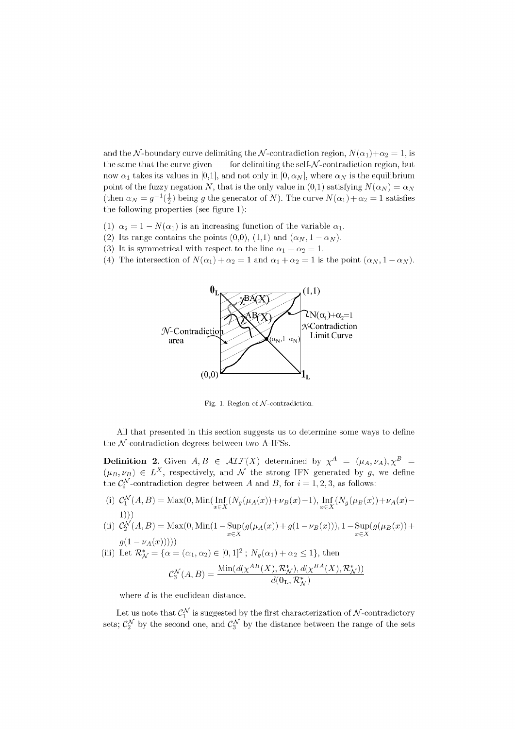and the N-boundary curve delimiting the N-contradiction region,  $N(\alpha_1)+\alpha_2=1$ , is the same that the curve given for delimiting the self- $N$ -contradiction region, but now  $\alpha_1$  takes its values in [0,1], and not only in [0,  $\alpha_N$ ], where  $\alpha_N$  is the equilibrium point of the fuzzy negation N, that is the only value in  $(0,1)$  satisfying  $N(\alpha_N) = \alpha_N$ (then  $\alpha_N = g^{-1}(\frac{1}{2})$  being g the generator of N). The curve  $N(\alpha_1) + \alpha_2 = 1$  satisfies the following properties (see figure 1):

- (1)  $\alpha_2 = 1 N(\alpha_1)$  is an increasing function of the variable  $\alpha_1$ .
- (2) Its range contains the points  $(0,0)$ ,  $(1,1)$  and  $(\alpha_N, 1 \alpha_N)$ .
- (3) It is symmetrical with respect to the line  $\alpha_1 + \alpha_2 = 1$ .
- (4) The intersection of  $N(\alpha_1) + \alpha_2 = 1$  and  $\alpha_1 + \alpha_2 = 1$  is the point  $(\alpha_N, 1 \alpha_N)$ .



Fig. 1. Region of  $N$ -contradiction.

All that presented in this section suggests us to determine some ways to define the  $N$ -contradiction degrees between two A-IFSs.

**Definition 2.** Given  $A, B \in \mathcal{AIF}(X)$  determined by  $\chi^A = (\mu_A, \nu_A), \chi^B =$  $(\mu_B, \nu_B) \in L^X$ , respectively, and  $\mathcal N$  the strong IFN generated by *g*, we define the  $\mathcal{C}^{\mathcal{N}}_i$ -contradiction degree between *A* and *B*, for  $i = 1, 2, 3$ , as follows:

- (i)  $C^{\mathcal{N}}_1(A,B) = \text{Max}(0,\text{Min}(\text{Inf}_{x \in X}(N_g(\mu_A(x))+\nu_B(x)-1), \text{Inf}_{x \in X}(N_g(\mu_B(x))+\nu_A(x)-1))$  $x \in \Lambda$   $x \in \Lambda$ 1)))
- (ii)  $C_2^N(A, B) = Max(0, Min(1 Sup(g(\mu_A(x)) + g(1 \nu_B(x))), 1 Sup(g(\mu_B(x)) +$  $x \in X$   $x \in X$

(iii) Let  $\mathcal{R}_{\mathcal{N}}^* = {\alpha = (\alpha_1, \alpha_2) \in [0, 1]^2}$ ;  $N_g(\alpha_1) + \alpha_2 \le 1$ , then

$$
\mathcal{C}^{\mathcal{N}}_3(A,B)=\frac{\text{Min}(d(\chi^{AB}(X), \mathcal{R}^*_{\mathcal{N}}), d(\chi^{BA}(X), \mathcal{R}^*_{\mathcal{N}}))}{d(\mathbf{0}_{\mathbf{L}}, \mathcal{R}^*_{\mathcal{N}})}
$$

where  $d$  is the euclidean distance.

sets;  $\mathcal{C}_2^{\mathcal{N}}$  by the second one, and  $\mathcal{C}_3^{\mathcal{N}}$  by the distance between the range of the sets Let us note that  $C_1^{\mathcal{N}}$  is suggested by the first characterization of  $\mathcal{N}$ -contradictory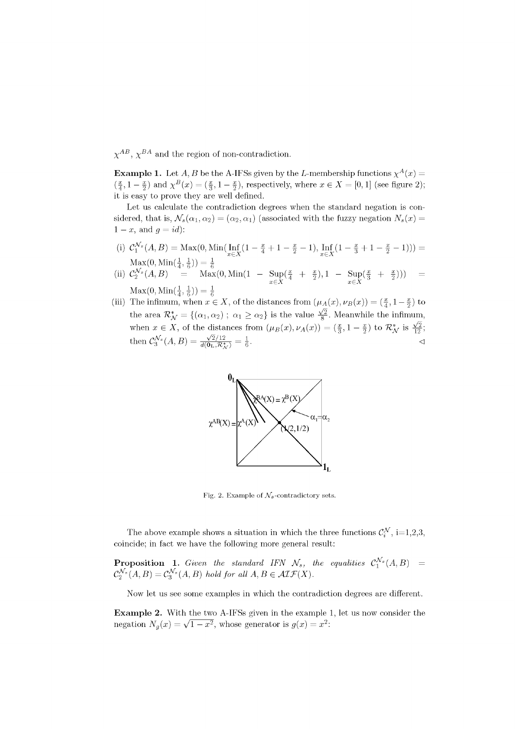$\chi^{AB}$ ,  $\chi^{BA}$  and the region of non-contradiction.

**Example 1.** Let  $A, B$  be the A-IFSs given by the *L*-membership functions  $\chi^A(x) =$  $(\frac{x}{4}, 1-\frac{x}{2})$  and  $\chi^B(x) = (\frac{x}{3}, 1-\frac{x}{2})$ , respectively, where  $x \in X = [0,1]$  (see figure 2); it is easy to prove they are well defined.

Let us calculate the contradiction degrees when the standard negation is considered, that is,  $\mathcal{N}_s(\alpha_1, \alpha_2) = (\alpha_2, \alpha_1)$  (associated with the fuzzy negation  $N_s(x) =$  $1-x$ , and  $g = id$ :

(i) 
$$
\mathcal{C}_1^{\mathcal{N}_s}(A, B) = \text{Max}(0, \text{Min}(\text{Inf}_{x \in X} \left(1 - \frac{x}{4} + 1 - \frac{x}{2} - 1), \text{Inf}_{x \in X} \left(1 - \frac{x}{3} + 1 - \frac{x}{2} - 1\right)\right)) = \text{Max}(0, \text{Min}(\frac{1}{4}, \frac{1}{6})) = \frac{1}{6}
$$

- (ii)  $\mathcal{C}_2^{\mathcal{N}_s}(A, B) = \text{Max}(0, \text{Min}(1 \text{Sup}(\frac{x}{4} + \frac{x}{2}), 1))$  $\text{Max}(0, \text{Min}(\frac{1}{4}, \frac{1}{6})) = \frac{1}{6}$  $x \in X$  $\text{Sup}(\frac{x}{3})$  $\sup_{x \in X} (\frac{x}{3} + \frac{x}{2}))) =$
- (iii) The infimum, when  $x \in X$ , of the distances from  $(\mu_A(x), \nu_B(x)) = (\frac{x}{4}, 1 \frac{x}{2})$  to the area  $\mathcal{R}_{\mathcal{N}}^* = \{(\alpha_1, \alpha_2) ; \ \alpha_1 \geq \alpha_2\}$  is the value  $\frac{\sqrt{2}}{8}$ . Meanwhile the infimum, when  $x \in X$ , of the distances from  $(\mu_B(x), \nu_A(x)) = (\frac{x}{3}, 1 - \frac{x}{2})$  to  $\mathcal{R}_{\mathcal{N}}^*$  is  $\frac{\sqrt{2}}{12}$ ;  $\text{then } \mathcal{C}_{3}^{\mathcal{N}_{s}}(A,B)=\frac{\sqrt{2}/12}{d(\mathbf{0}_{\mathbf{L}},\mathcal{R}_{s}^{*})}=\frac{1}{6}.$



Fig. 2. Example of  $\mathcal{N}_s$ -contradictory sets.

The above example shows a situation in which the three functions  $\mathcal{C}_{i}^{\mathcal{N}}$ , i=1,2,3, coincide; in fact we have the following more general result:

**Proposition 1.** Given the standard IFN  $\mathcal{N}_s$ , the equalities  $\mathcal{C}^{\mathcal{N}_s}_1(A, B)$  =  $\mathcal{C}_2^{\mathcal{N}_s}(A, B) = \mathcal{C}_3^{\mathcal{N}_s}(A, B)$  hold for all  $A, B \in \mathcal{AIF}(X)$ .

Now let us see some examples in which the contradiction degrees are different.

**Example 2.** With the two A-IFSs given in the example 1, let us now consider the negation  $N_g(x) = \sqrt{1 - x^2}$ , whose generator is  $g(x) = x^2$ .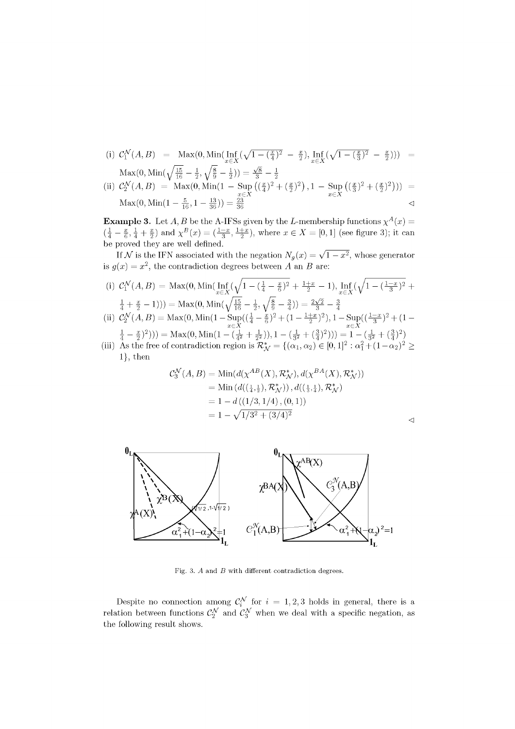(i) 
$$
C_1^{\mathcal{N}}(A, B) = \text{Max}(0, \text{Min}(\text{Inf}_{x \in X}(\sqrt{1 - (\frac{x}{4})^2} - \frac{x}{2}), \text{Inf}_{x \in X}(\sqrt{1 - (\frac{x}{3})^2} - \frac{x}{2}))) = \text{Max}(0, \text{Min}(\sqrt{\frac{15}{16}} - \frac{1}{2}, \sqrt{\frac{8}{9}} - \frac{1}{2})) = \frac{\sqrt{8}}{3} - \frac{1}{2}
$$
  
\n(ii)  $C_2^{\mathcal{N}}(A, B) = \text{Max}(0, \text{Min}(1 - \text{Sup}_{x \in X}((\frac{x}{4})^2 + (\frac{x}{2})^2), 1 - \text{Sup}_{x \in X}((\frac{x}{3})^2 + (\frac{x}{2})^2))) = \text{Max}(0, \text{Min}(1 - \frac{5}{16}, 1 - \frac{13}{36})) = \frac{23}{36}$ 

**Example 3.** Let  $A, B$  be the A-IFSs given by the L-membership functions  $\chi^A(x) =$  $(\frac{1}{4} - \frac{x}{6}, \frac{1}{4} + \frac{x}{2})$  and  $\chi^B(x) = (\frac{1-x}{3}, \frac{1+x}{2})$ , where  $x \in X = [0,1]$  (see figure 3); it can be proved they are well defined.

If  $\mathcal{N}$  is the IFN associated with the negation  $N_g(x) = \sqrt{1 - x^2}$ , whose generator is  $g(x) = x^2$ , the contradiction degrees between A an B are:

(i) 
$$
C_1^{\mathcal{N}}(A, B) = \text{Max}(0, \text{Min}(\text{Inf}_{x \in X}(\sqrt{1 - (\frac{1}{4} - \frac{x}{6})^2 + \frac{1+x}{2}} - 1), \text{Inf}_{x \in X}(\sqrt{1 - (\frac{1-x}{3})^2 + \frac{1}{4} + \frac{x}{2}} - 1))) = \text{Max}(0, \text{Min}(\sqrt{\frac{15}{16}} - \frac{1}{2}, \sqrt{\frac{8}{9}} - \frac{3}{4})) = \frac{2\sqrt{2}}{3} - \frac{3}{4}
$$

(ii)  $\mathcal{C}_2^{\mathcal{N}}(A, B) = \text{Max}(0, \text{Min}(1 - \text{Sup}((\frac{1}{4} - \frac{x}{6})^2 + (1 - \frac{1+x}{2})^2), 1 - \text{Sup}((\frac{1-x}{3})^2 + (1 - \frac{1+x}{2})^2))$  $\left(\frac{1}{4} - \frac{x}{2}\right)^2)$ )) = Max $(0, \text{Min}(1 - (\frac{1}{4^2} + \frac{1}{2^2})), 1 - (\frac{1}{3^2} + (\frac{3}{4})^2))$ ) =  $1 - (\frac{1}{3^2} + (\frac{3}{4})^2)$ 

(iii) As the free of contradiction region is  $\mathcal{R}_{\mathcal{N}}^* = \{(\alpha_1, \alpha_2) \in [0, 1]^2 : \alpha_1^2 + (1 - \alpha_2)^2 \geq 0\}$ 1}, then

$$
C_3^{\mathcal{N}}(A, B) = \text{Min}(d(\chi^{AB}(X), \mathcal{R}_{\mathcal{N}}^*), d(\chi^{BA}(X), \mathcal{R}_{\mathcal{N}}^*))
$$
  
= Min( $d((\frac{1}{4}, \frac{1}{2}), \mathcal{R}_{\mathcal{N}}^*), d((\frac{1}{3}, \frac{1}{4}), \mathcal{R}_{\mathcal{N}}^*)$   
= 1 - d((1/3, 1/4), (0, 1))  
= 1 - \sqrt{1/3^2 + (3/4)^2}

| I<br>٧<br>٧<br>۰, |  |
|-------------------|--|
| ×                 |  |
|                   |  |



Fig. 3. A and B with different contradiction degrees.

Despite no connection among  $\mathcal{C}^{\mathcal{N}}_i$  for  $i = 1, 2, 3$  holds in general, there is a relation between functions  $\mathcal{C}_2^{\mathcal{N}}$  and  $\mathcal{C}_3^{\mathcal{N}}$  when we deal with a specific negation, as the following result shows.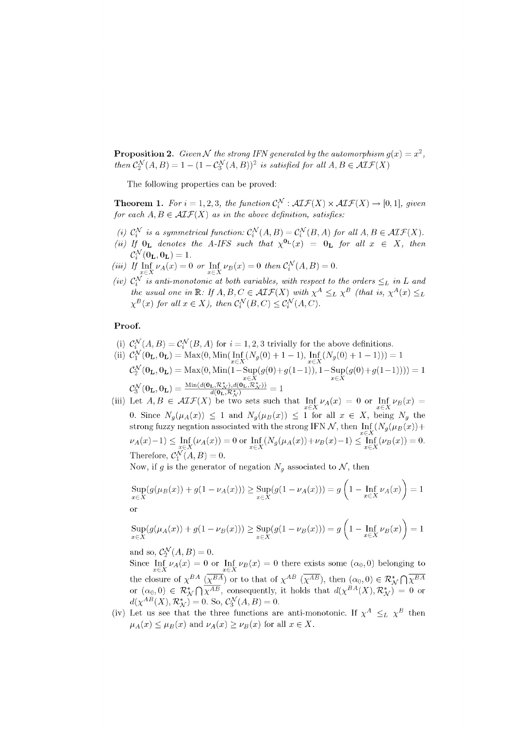**Proposition 2.** Given N the strong IFN generated by the automorphism  $g(x) = x^2$ , *then*  $\mathcal{C}_2^{\mathcal{N}}(A, B) = 1 - (1 - \mathcal{C}_3^{\mathcal{N}}(A, B))^2$  *is satisfied for all*  $A, B \in \mathcal{AIF}(X)$ 

The following properties can be proved:

**Theorem 1.** For  $i = 1, 2, 3$ *, the function*  $C_i^{\mathcal{N}}$  :  $\mathcal{AIF}(X) \times \mathcal{AIF}(X) \rightarrow [0, 1]$ *, given for each*  $A, B \in \mathcal{AIF}(X)$  *as in the above definition, satisfies:* 

- *(i)*  $C_i^{\mathcal{N}}$  *is a symmetrical function:*  $C_i^{\mathcal{N}}(A, B) = C_i^{\mathcal{N}}(B, A)$  *for all*  $A, B \in \mathcal{AIF}(X)$ .
- (*ii*) If  $\mathbf{0}_L$  denotes the A-IFS such that  $\chi^{\mathbf{0}_L}(x) = \mathbf{0}_L$  for all  $x \in X$ , then  $\mathcal{C}_{i}^{\mathcal{N}}(\mathbf{0}_{\mathbf{L}},\mathbf{0}_{\mathbf{L}})=1.$
- *(iii)* If  $\text{Inf}_{X} \nu_A(x) = 0$  or  $\text{Inf}_{X} \nu_B(x) = 0$  then  $C_i^N(A, B) = 0$ .  $x \in \Lambda$   $x \in \Lambda$
- (*iv)*  $C_i$  is anti-monotonic at both variables, with respect to the orders  $\leq_L$  in L and *the usual one in*  $\mathbb{R}:$  *If A, B, C*  $\in$  *ALF*(*X*) with  $\chi^{\prime\prime} \leq_L \chi^{\prime\prime}$  (that is,  $\chi^{\prime\prime}(x) \leq_L$ *X*  $\mathcal{L}^2(x)$  for all  $x \in X$ , then  $C_i^{x}(B, C) \leq C_i^{x}(A, C)$ .

# Proof.

(i)  $C_i^{\mathcal{N}}(A, B) = C_i^{\mathcal{N}}(B, A)$  for  $i = 1, 2, 3$  trivially for the above definitions.

(ii) 
$$
C_1^N(\mathbf{0}_\mathbf{L}, \mathbf{0}_\mathbf{L}) = \text{Max}(0, \text{Min}(\text{Inf}_{x \in X}(N_g(0) + 1 - 1), \text{Inf}_{x \in X}(N_g(0) + 1 - 1))) = 1
$$

$$
C_2^N(\mathbf{0}_\mathbf{L}, \mathbf{0}_\mathbf{L}) = \text{Max}(0, \text{Min}(1 - \text{Sup}(g(0) + g(1 - 1)), 1 - \text{Sup}(g(0) + g(1 - 1)))) = 1
$$

$$
C_3^N(\mathbf{0}_\mathbf{L}, \mathbf{0}_\mathbf{L}) = \frac{\text{Min}(d(\mathbf{0}_\mathbf{L}, \mathcal{R}_{X \setminus A}^*), d(\mathbf{0}_\mathbf{L}, \mathcal{R}_{X \setminus A}^*)}{d(\mathbf{0}_\mathbf{L}, \mathcal{R}_{X \setminus A}^*)} = 1
$$

(iii) Let  $A, B \in \mathcal{AIF}(X)$  be two sets such that  $\text{Inf}_{\mathcal{V}} \nu_A(x) = 0$  or  $\text{Inf}_{\mathcal{V}} \nu_B(x) = 0$  $x \in X$   $x \in X$ 0. Since  $N_g(\mu_A(x)) \leq 1$  and  $N_g(\mu_B(x)) \leq 1$  for all  $x \in \Lambda$ , being  $N_g$  the strong fuzzy negation associated with the strong IFN N, then  $\lim_{x \in X} (Ng(\mu_B(x)) +$  $\nu_A(x) - 1$ )  $\leq \inf_{x \in X} (\nu_A(x)) = 0$  or  $\inf_{x \in X} (N_g(\mu_A(x)) + \nu_B(x) - 1) \leq \inf_{x \in X} (\nu_B(x)) = 0.$ Therefore,  $C_1^{\infty}(A, B) = 0$ .

Now, if g is the generator of negation  $N_g$  associated to  $\mathcal{N}$ , then

$$
\sup_{x \in X} (g(\mu_B(x)) + g(1 - \nu_A(x))) \ge \sup_{x \in X} (g(1 - \nu_A(x))) = g\left(1 - \inf_{x \in X} \nu_A(x)\right) = 1
$$

O<sub>1</sub>

$$
\sup_{x \in X} (g(\mu_A(x)) + g(1 - \nu_B(x))) \ge \sup_{x \in X} (g(1 - \nu_B(x))) = g\left(1 - \inf_{x \in X} \nu_B(x)\right) = 1
$$

and so,  $\mathcal{C}_2^{\mathcal{N}}(A, B) = 0$ .

Since  $\text{Inf}_{\mathcal{V}} \nu_A(x) = 0$  or  $\text{Inf}_{\mathcal{V}} \nu_B(x) = 0$  there exists some  $(\alpha_0, 0)$  belonging to  $\lim_{x \in A} e^x$  *xex*  $\lim_{x \in A} e^x$ the closure of  $\chi$  ( $\chi$ ) or to that of  $\chi$  ( $\chi$ ), then  $(a_0, b) \in N_f$   $|\chi$  $\mathbf{r}$  $d(\chi^{AB}(X), \mathcal{R}_{\mathcal{M}}^*) = 0$ . So,  $\mathcal{C}_{3}^{\mathcal{N}}(A, B) = 0$ . *,* consequently, it holds that  $a(\chi - \langle A \rangle, N_N) = 0$  or  $S_0 \sqrt{N} (A \cdot D) = 0$  $d(x \mid (X), N_N) = 0.$  So,  $C_3 \mid (A, B) = 0.$ <br>Let us see that the three functions are

(iv) Let us see that the three functions are anti-monotonic. If  $\chi \geq L \chi$  then  $\mu_A(x) \leq \mu_B(x)$  and  $\nu_A(x) \geq \nu_B(x)$  for an  $x \in \Lambda$ .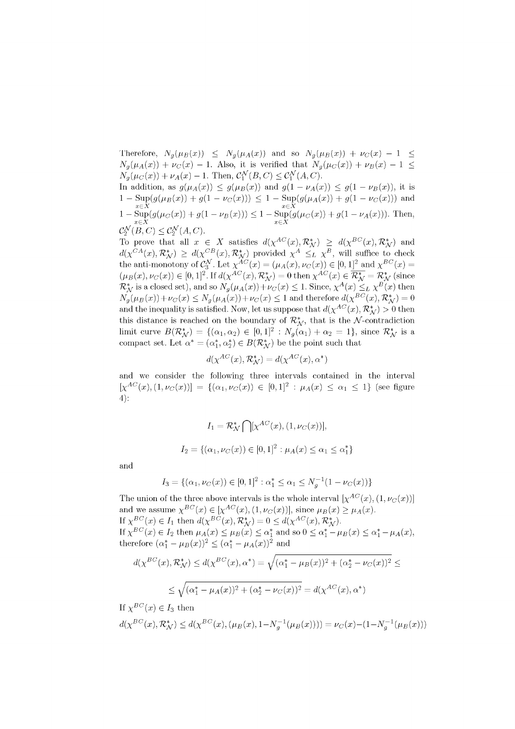Therefore,  $N_g(\mu_B(x)) \leq N_g(\mu_A(x))$  and so  $N_g(\mu_B(x)) + \nu_C(x) - 1 \leq$  $N_g(\mu_A(x)) + \nu_C(x) - 1$ . Also, it is verified that  $N_g(\mu_C(x)) + \nu_B(x) - 1 \leq$  $N_g(\mu_C(x)) + \nu_A(x) - 1$ . Then,  $C_1^{\mathcal{N}}(B, C) \leq C_1^{\mathcal{N}}(A, C)$ .

In addition, as  $g(\mu_A(x)) \leq g(\mu_B(x))$  and  $g(1 - \nu_A(x)) \leq g(1 - \nu_B(x))$ , it is  $1 - \text{Sup}(g(\mu_B(x)) + g(1 - \nu_C(x))) \leq 1 - \text{Sup}(g(\mu_A(x)) + g(1 - \nu_C(x)))$  and  $1 - \sup_{x \in X} (g(\mu_C(x)) + g(1 - \nu_B(x))) \leq 1 - \sup_{x \in X} (g(\mu_C(x)) + g(1 - \nu_A(x))).$  Then,  $\mathcal{C}_2^{\mathcal{N}}(B,C) \leq \mathcal{C}_2^{\mathcal{N}}(A,C).$ 

To prove that all  $x \in X$  satisfies  $d(\chi^{AC}(x), \mathcal{R}_{\mathcal{N}}^*) \geq d(\chi^{BC}(x), \mathcal{R}_{\mathcal{N}}^*)$  and  $d(\chi^{CA}(x), \mathcal{R}_{\mathcal{N}}^*) \geq d(\chi^{CB}(x), \mathcal{R}_{\mathcal{N}}^*)$  provided  $\chi^A \leq_L \chi^B$ , will suffice to check the anti-monotony of  $\mathcal{C}_3^{\mathcal{N}}$ . Let  $\chi^{AC}(x) = (\mu_A(x), \nu_C(x)) \in [0, 1]^2$  and  $\chi^{BC}(x) =$  $(\mu_B(x), \nu_C(x)) \in [0, 1]^2$ . If  $d(\chi^{AC}(x), \mathcal{R}_\mathcal{N}^*) = 0$  then  $\chi^{AC}(x) \in \overline{\mathcal{R}_\mathcal{N}^*} = \mathcal{R}_\mathcal{N}^*$  (since  $\mathcal{R}_{\mathcal{N}}^{*}$  is a closed set), and so  $N_a(\mu_A(x)) + \nu_C(x) \leq 1$ . Since,  $\chi^A(x) \leq_L \chi^B(x)$  then  $N_q(\mu_B(x)) + \nu_C(x) \leq N_q(\mu_A(x)) + \nu_C(x) \leq 1$  and therefore  $d(\chi^{BC}(x), \mathcal{R}_N^*) = 0$ and the inequality is satisfied. Now, let us suppose that  $d(\chi^{AC}(x), \mathcal{R}_{\mathcal{M}}^*) > 0$  then this distance is reached on the boundary of  $\mathcal{R}_{\mathcal{N}}^{*}$ , that is the N-contradiction limit curve  $B(\mathcal{R}_{\mathcal{M}}^*) = \{(\alpha_1, \alpha_2) \in [0, 1]^2 : N_g(\alpha_1) + \alpha_2 = 1\}$ , since  $\mathcal{R}_{\mathcal{M}}^*$  is a compact set. Let  $\alpha^* = (\alpha_1^*, \alpha_2^*) \in B(\mathcal{R}_{\mathcal{N}}^*)$  be the point such that

$$
d(\chi^{AC}(x), \mathcal{R}_{\mathcal{N}}^*) = d(\chi^{AC}(x), \alpha^*)
$$

and we consider the following three intervals contained in the interval  $[\chi^{AC}(x), (1, \nu_C(x))] = {(\alpha_1, \nu_C(x)) \in [0, 1]^2 : \mu_A(x) \leq \alpha_1 \leq 1}$  (see figure 4):

$$
I_1 = \mathcal{R}_{\mathcal{N}}^* \bigcap [\chi^{AC}(x), (1, \nu_C(x))],
$$
  

$$
I_2 = \{(\alpha_1, \nu_C(x)) \in [0, 1]^2 : \mu_A(x) \le \alpha_1 \le \alpha_1^*\}
$$

and

$$
I_3 = \{(\alpha_1, \nu_C(x)) \in [0, 1]^2 : \alpha_1^* \le \alpha_1 \le N_g^{-1}(1 - \nu_C(x))\}
$$

The union of the three above intervals is the whole interval  $[\chi^{AC}(x), (1, \nu_C(x))]$ and we assume  $\chi^{BC}(x) \in [\chi^{AC}(x), (1, \nu_C(x))]$ , since  $\mu_B(x) \ge \mu_A(x)$ . If  $\chi^{BC}(x) \in I_1$  then  $d(\chi^{BC}(x), \mathcal{R}_{\mathcal{N}}^*) = 0 \leq d(\chi^{AC}(x), \mathcal{R}_{\mathcal{N}}^*).$ If  $\chi^{BC}(x) \in I_2$  then  $\mu_A(x) \leq \mu_B(x) \leq \alpha_1^*$  and so  $0 \leq \alpha_1^* - \mu_B(x) \leq \alpha_1^* - \mu_A(x)$ , therefore  $({\alpha}_{1}^{*} - {\mu}_{B}(x))^{2} \le ({\alpha}_{1}^{*} - {\mu}_{A}(x))^{2}$  and

$$
d(\chi^{BC}(x), \mathcal{R}_{\mathcal{N}}^*) \le d(\chi^{BC}(x), \alpha^*) = \sqrt{(\alpha_1^* - \mu_B(x))^2 + (\alpha_2^* - \nu_C(x))^2} \le
$$
  

$$
\le \sqrt{(\alpha_1^* - \mu_A(x))^2 + (\alpha_2^* - \nu_C(x))^2} = d(\chi^{AC}(x), \alpha^*)
$$

If 
$$
\chi^{BC}(x) \in I_3
$$
 then  
\n $d(\chi^{BC}(x), \mathcal{R}^*_{\mathcal{N}}) \leq d(\chi^{BC}(x), (\mu_B(x), 1 - N_g^{-1}(\mu_B(x)))) = \nu_C(x) - (1 - N_g^{-1}(\mu_B(x)))$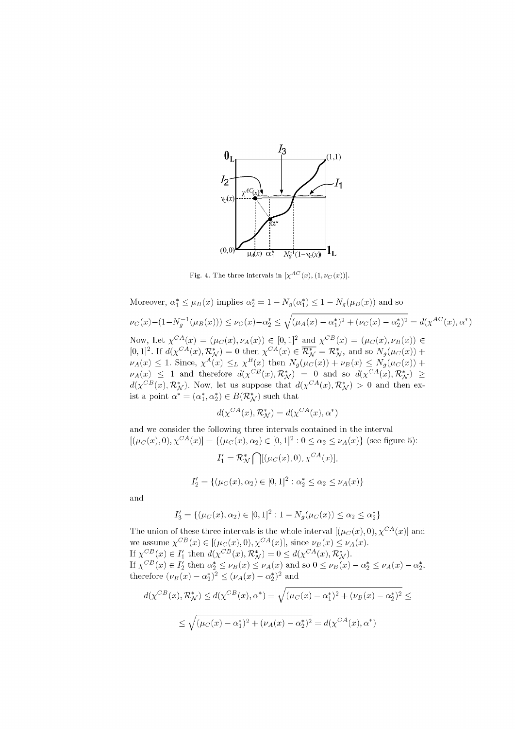

Fig. 4. The three intervals in  $[\chi^{AC}(x), (1, \nu_C(x))].$ 

Moreover, 
$$
\alpha_1^* \leq \mu_B(x)
$$
 implies  $\alpha_2^* = 1 - N_g(\alpha_1^*) \leq 1 - N_g(\mu_B(x))$  and so  $\nu_C(x) - (1 - N_g^{-1}(\mu_B(x))) \leq \nu_C(x) - \alpha_2^* \leq \sqrt{(\mu_A(x) - \alpha_1^*)^2 + (\nu_C(x) - \alpha_2^*)^2} = d(\chi^{AC}(x), \alpha^*)$  Now, Let  $\chi^{CA}(x) = (\mu_C(x), \nu_A(x)) \in [0, 1]^2$  and  $\chi^{CB}(x) = (\mu_C(x), \nu_B(x)) \in [0, 1]^2$ . If  $d(\chi^{CA}(x), \mathcal{R}_{\mathcal{N}}^*) = 0$  then  $\chi^{CA}(x) \in \overline{\mathcal{R}}_{\mathcal{N}}^* = \mathcal{R}_{\mathcal{N}}^*$ , and so  $N_g(\mu_C(x)) + \nu_A(x) \leq 1$ . Since,  $\chi^A(x) \leq_L \chi^B(x)$  then  $N_g(\mu_C(x)) + \nu_B(x) \leq N_g(\mu_C(x)) + \nu_A(x) \leq 1$  and therefore  $d(\chi^{CB}(x), \mathcal{R}_{\mathcal{N}}^*) = 0$  and so  $d(\chi^{CA}(x), \mathcal{R}_{\mathcal{N}}^*) \geq d(\chi^{CB}(x), \mathcal{R}_{\mathcal{N}}^*).$  Now, let us suppose that  $d(\chi^{CA}(x), \mathcal{R}_{\mathcal{N}}^*) > 0$  and then exist a point  $\alpha^* = (\alpha_1^*, \alpha_2^*) \in B(\mathcal{R}_{\mathcal{N}}^*)$  such that

$$
d(\chi^{CA}(x), \mathcal{R}^*_{\mathcal{N}}) = d(\chi^{CA}(x), \alpha^*)
$$

and we consider the following three intervals contained in the interval  $[(\mu_C(x), 0), \chi^{CA}(x)] = \{(\mu_C(x), \alpha_2) \in [0, 1]^2 : 0 \leq \alpha_2 \leq \nu_A(x)\}$  (see figure 5):

$$
I'_1 = \mathcal{R}_{\mathcal{N}}^* \big[ \ | [(\mu_C(x), 0), \chi^{CA}(x)],
$$
  

$$
I'_2 = \{ (\mu_C(x), \alpha_2) \in [0, 1]^2 : \alpha_2^* \le \alpha_2 \le \nu_A(x) \}
$$

and

$$
I_3' = \{ (\mu_C(x), \alpha_2) \in [0, 1]^2 : 1 - N_g(\mu_C(x)) \le \alpha_2 \le \alpha_2^* \}
$$

The union of these three intervals is the whole interval  $[(\mu_C(x), 0), \chi^{CA}(x)]$  and we assume  $\chi^{CB}(x) \in [(\mu_C(x), 0), \chi^{CA}(x)],$  since  $\nu_B(x) \leq \nu_A(x)$ . If  $\chi^{CB}(x) \in I'_1$  then  $d(\chi^{CB}(x), \mathcal{R}_{\mathcal{N}}^*) = 0 \leq d(\chi^{CA}(x), \mathcal{R}_{\mathcal{N}}^*).$ If  $\chi^{CB}(x) \in I'_2$  then  $\alpha^*_2 \le \nu_B(x) \le \nu_A(x)$  and so  $0 \le \nu_B(x) - \alpha^*_2 \le \nu_A(x) - \alpha^*_2$ , therefore  $(\nu_B(x) - \alpha_2^*)^2 \leq (\nu_A(x) - \alpha_2^*)^2$  and

$$
d(\chi^{CB}(x), \mathcal{R}_{\mathcal{N}}^{*}) \leq d(\chi^{CB}(x), \alpha^{*}) = \sqrt{(\mu_{C}(x) - \alpha_{1}^{*})^{2} + (\nu_{B}(x) - \alpha_{2}^{*})^{2}} \leq
$$
  

$$
\leq \sqrt{(\mu_{C}(x) - \alpha_{1}^{*})^{2} + (\nu_{A}(x) - \alpha_{2}^{*})^{2}} = d(\chi^{CA}(x), \alpha^{*})
$$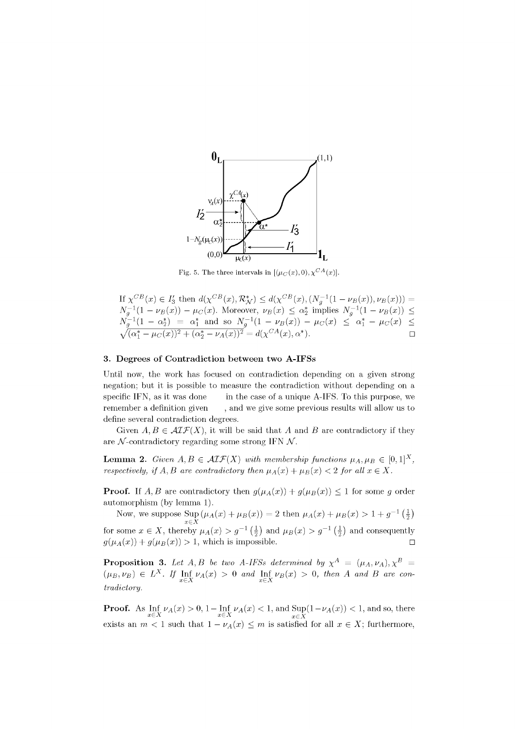

Fig. 5. The three intervals in  $[(\mu_C(x), 0), \chi^{CA}(x)].$ 

If 
$$
\chi^{CB}(x) \in I'_3
$$
 then  $d(\chi^{CB}(x), \mathcal{R}_\mathcal{N}^*) \leq d(\chi^{CB}(x), (N_g^{-1}(1-\nu_B(x)), \nu_B(x))) =$   
\n $N_g^{-1}(1-\nu_B(x)) - \mu_C(x)$ . Moreover,  $\nu_B(x) \leq \alpha_2^*$  implies  $N_g^{-1}(1-\nu_B(x)) \leq$   
\n $N_g^{-1}(1-\alpha_2^*) = \alpha_1^*$  and so  $N_g^{-1}(1-\nu_B(x)) - \mu_C(x) \leq \alpha_1^* - \mu_C(x) \leq$   
\n $\sqrt{(\alpha_1^* - \mu_C(x))^2 + (\alpha_2^* - \nu_A(x))^2} = d(\chi^{CA}(x), \alpha^*).$ 

# **3. Degree s of Contradiction betwee n two A-IFSs**

Until now, the work has focused on contradiction depending on a given strong negation; but it is possible to measure the contradiction without depending on a specific IFN, as it was done in the case of a unique A-IFS. To this purpose, we remember a definition given , and we give some previous results will allow us to define several contradiction degrees.

Given  $A, B \in \mathcal{AIF}(X)$ , it will be said that A and B are contradictory if they are  $\mathcal{N}$ -contradictory regarding some strong IFN  $\mathcal{N}$ .

**Lemma 2.** Given  $A, B \in \mathcal{AIF}(X)$  with membership functions  $\mu_A, \mu_B \in [0, 1]^X$ , *respectively, if A, B are contradictory then*  $\mu_A(x) + \mu_B(x) < 2$  for all  $x \in X$ .

**Proof.** If A, B are contradictory then  $g(\mu_A(x)) + g(\mu_B(x)) \leq 1$  for some g order automorphism (by lemma 1).

Now, we suppose  $\text{Sup} (\mu_A(x) + \mu_B(x)) = 2$  then  $\mu_A(x) + \mu_B(x) > 1 + g^{-1} (\frac{1}{2})$  $x \in X$ for some  $x \in X$ , thereby  $\mu_A(x) > g^{-1}(\frac{1}{2})$  and  $\mu_B(x) > g^{-1}(\frac{1}{2})$  and consequently  $g(\mu_A(x)) + g(\mu_B(x)) > 1$ , which is impossible.  $\Box$ 

**Proposition 3.** Let  $A, B$  be two  $A$ -IFSs determined by  $\chi^A = (\mu_A, \nu_A), \chi^B =$  $(\mu_B, \nu_B) \in L^X$ . If  $\text{Inf}_{\nu(A)}(x) > 0$  and  $\text{Inf}_{\nu(B)}(x) > 0$ , then A and B are con $x \in \Lambda$   $x \in \Lambda$ *tradictory.* 

**Proof.** As  $\text{Inf } \nu_A(x) > 0, 1 - \text{Inf } \nu_A(x) < 1$ , and  $\text{Sup}(1 - \nu_A(x)) < 1$ , and so, there  $x \in X$   $x \in X$ exists an  $m < 1$  such that  $1 - \nu_A(x) \leq m$  is satisfied for all  $x \in X$ ; furthermore,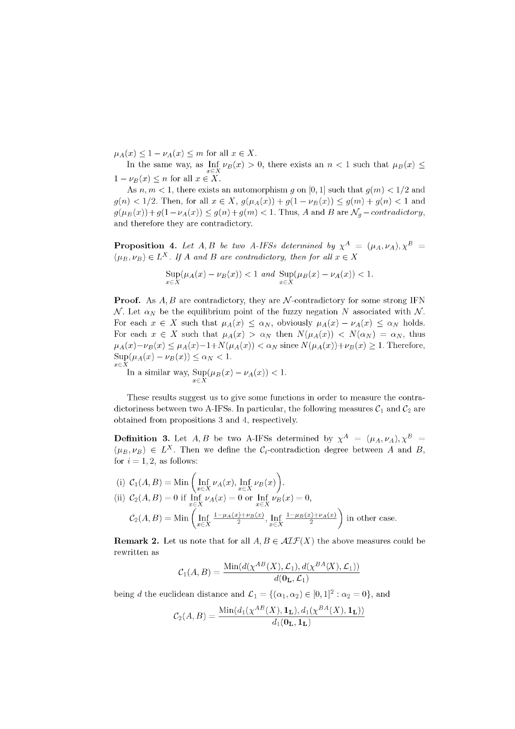$\mu_A(x) \leq 1 - \nu_A(x) \leq m$  for all  $x \in X$ .

In the same way, as  $\text{Inf}_{X} \nu_B(x) > 0$ , there exists an  $n < 1$  such that  $\mu_B(x) \le$  $1 - \nu_B(x) \le n$  for all  $x \in X$ .

As  $n, m < 1$ , there exists an automorphism g on [0, 1] such that  $g(m) < 1/2$  and  $g(n) < 1/2$ . Then, for all  $x \in X$ ,  $g(\mu_A(x)) + g(1 - \nu_B(x)) \le g(m) + g(n) < 1$  and  $g(\mu_B(x)) + g(1 - \nu_A(x)) \leq g(n) + g(m) < 1$ . Thus, A and B are  $\mathcal{N}_g$  – *contradictory*, and therefore they are contradictory.

**Proposition 4.** Let  $A, B$  be two A-IFSs determined by  $\chi^A = (\mu_A, \nu_A), \chi^B =$  $(\mu_B, \nu_B) \in L^X$ . If A and B are contradictory, then for all  $x \in X$ 

$$
\sup_{x\in X}(\mu_A(x)-\nu_B(x))<1\enskip and \enskip \sup_{x\in X}(\mu_B(x)-\nu_A(x))<1.
$$

**Proof.** As  $A, B$  are contradictory, they are  $\mathcal{N}$ -contradictory for some strong IFN *N*. Let  $\alpha_N$  be the equilibrium point of the fuzzy negation N associated with N. For each  $x \in X$  such that  $\mu_A(x) \leq \alpha_N$ , obviously  $\mu_A(x) - \nu_A(x) \leq \alpha_N$  holds. For each  $x \in X$  such that  $\mu_A(x) > \alpha_N$  then  $N(\mu_A(x)) < N(\alpha_N) = \alpha_N$ , thus  $\mu_A(x)-\nu_B(x) \leq \mu_A(x) - 1 + N(\mu_A(x)) < \alpha_N$  since  $N(\mu_A(x))+\nu_B(x) \geq 1$ . Therefore,  $\text{Sup}(\mu_A(x) - \nu_B(x)) \leq \alpha_N < 1.$  $x \in \bar{X}$ 

In a similar way,  $\text{Sup}(\mu_B(x) - \nu_A(x)) < 1$ .  $x \in \tilde{X}$ 

These results suggest us to give some functions in order to measure the contradictoriness between two A-IFSs. In particular, the following measures  $C_1$  and  $C_2$  are obtained from propositions 3 and 4, respectively.

**Definition 3.** Let  $A, B$  be two A-IFSs determined by  $\chi^A = (\mu_A, \nu_A), \chi^B =$  $(\mu_B, \nu_B) \in L^X$ . Then we define the  $\mathcal{C}_i$ -contradiction degree between A and B, for  $i = 1, 2$ , as follows:

(i) 
$$
C_1(A, B) = \text{Min}\left(\text{Inf}_{x \in X} \nu_A(x), \text{Inf}_{x \in X} \nu_B(x)\right).
$$
  
\n(ii) 
$$
C_2(A, B) = 0
$$
 if 
$$
\text{Inf}_{x \in X} \nu_A(x) = 0
$$
 or 
$$
\text{Inf}_{x \in X} \nu_B(x) = 0,
$$
  
\n
$$
C_2(A, B) = \text{Min}\left(\text{Inf}_{x \in X} \frac{1 - \mu_A(x) + \nu_B(x)}{2}, \text{Inf}_{x \in X} \frac{1 - \mu_B(x) + \nu_A(x)}{2}\right)
$$
 in other case.

**Remark 2.** Let us note that for all  $A, B \in \mathcal{AIF}(X)$  the above measures could be rewritten as

$$
C_1(A, B) = \frac{\text{Min}(d(\chi^{AB}(X), \mathcal{L}_1), d(\chi^{BA}(X), \mathcal{L}_1))}{d(\mathbf{0_L}, \mathcal{L}_1)}
$$

being *d* the euclidean distance and  $\mathcal{L}_1 = \{(\alpha_1, \alpha_2) \in [0, 1]^2 : \alpha_2 = 0\}$ , and

$$
C_2(A, B) = \frac{\text{Min}(d_1(\chi^{AB}(X), \mathbf{1_L}), d_1(\chi^{BA}(X), \mathbf{1_L}))}{d_1(\mathbf{0_L}, \mathbf{1_L})}
$$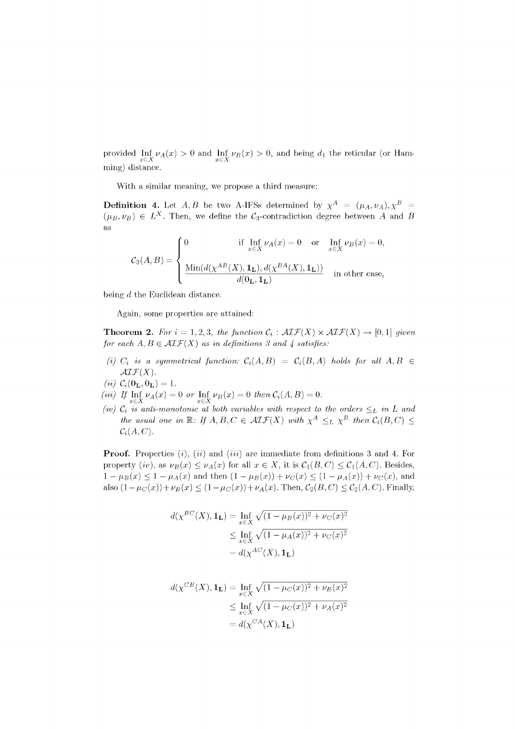provided Inf<sub>*VA(x)* > 0 and Inf<sub>*VB(x)* > 0, and being  $d_1$  the reticular (or Ham-</sub></sub>  $\overline{x \in X}$   $\overline{X} \in X$ ming) distance.

With a similar meaning, we propose a third measure:

**Definition 4.** Let  $A, B$  be two A-IFSs determined by  $\chi^A = (\mu_A, \nu_A), \chi^B =$  $(\mu_B, \nu_B) \in L^X$ . Then, we define the C<sub>3</sub>-contradiction degree between *A* and *B*  $(\mu_B, \nu_B)$ as

$$
\mathcal{C}_3(A,B) = \left\{ \begin{aligned} & 0 & \text{if } \inf_{x \in X} \nu_A(x) = 0 \quad \text{or} \quad \inf_{x \in X} \nu_B(x) = 0, \\ & \frac{\text{Min}(d(\chi^{AB}(X), \mathbf{1_L}), d(\chi^{BA}(X), \mathbf{1_L}))}{d(\mathbf{0_L}, \mathbf{1_L})} & \text{in other case,} \end{aligned} \right.
$$

being *d* the Euclidean distance.

Again, some properties are attained:

**Theorem 2.** For  $i = 1, 2, 3$ *, the function*  $C_i : \mathcal{AIF}(X) \times \mathcal{AIF}(X) \rightarrow [0, 1]$  given *for each*  $A, B \in \mathcal{AIF}(X)$  *as in definitions 3 and 4 satisfies:* 

*(i)*  $C_i$  is a symmetrical function:  $C_i(A, B) = C_i(B, A)$  holds for all  $A, B \in$  $\mathcal{AIF}(X)$ .

$$
(ii) C_i(\mathbf{0_L}, \mathbf{0_L}) = 1.
$$

- *(iii)* If  $\text{Inf}_{\alpha} \nu_A(x) = 0$  or  $\text{Inf}_{\alpha} \nu_B(x) = 0$  then  $\mathcal{C}_i(A, B) = 0$ .
- (iv)  $c_i$  is anti-monotonic at both variables with respect to the orders  $\leq_L$  in L and <br>  $\binom{L}{k}$  is anti-monotonic at both variables with respect to the orders  $\leq_L$  in L and *the usual one in*  $\mathbb{R}$ : *If*  $A, B, C \in \mathcal{A}L\mathcal{F}(X)$  with  $\chi^A \leq_L \chi^B$  then  $C_i(B, C) \leq$  $C_i(A,C)$ .

**Proof.** Properties *(i), (ii)* and *(iii)* are immediate from definitions 3 and 4. For property (iv), as  $\nu_B(x) \leq \nu_A(x)$  for all  $x \in X$ , it is  $C_1(B, C) \leq C_1(A, C)$ . Besides,  $1 - \mu_B(x) \leq 1 - \mu_A(x)$  and then  $(1 - \mu_B(x)) + \nu_C(x) \leq (1 - \mu_A(x)) + \nu_C(x)$ , and also  $(1 - \mu_C(x)) + \nu_B(x) \le (1 - \mu_C(x)) + \nu_A(x)$ . Then,  $C_2(B, C) \le C_2(A, C)$ . Finally,

$$
d(\chi^{BC}(X), \mathbf{1}_{\mathbf{L}}) = \inf_{x \in X} \sqrt{(1 - \mu_B(x))^2 + \nu_C(x)^2}
$$
  
\n
$$
\leq \inf_{x \in X} \sqrt{(1 - \mu_A(x))^2 + \nu_C(x)^2}
$$
  
\n
$$
= d(\chi^{AC}(X), \mathbf{1}_{\mathbf{L}})
$$

$$
d(\chi^{CB}(X), \mathbf{1}_{\mathbf{L}}) = \inf_{x \in X} \sqrt{(1 - \mu_C(x))^2 + \nu_B(x)^2}
$$
  
\n
$$
\leq \inf_{x \in X} \sqrt{(1 - \mu_C(x))^2 + \nu_A(x)^2}
$$
  
\n
$$
= d(\chi^{CA}(X), \mathbf{1}_{\mathbf{L}})
$$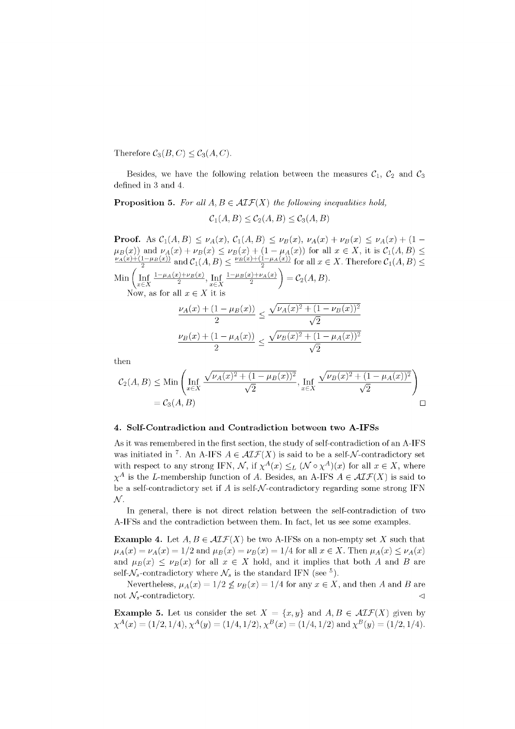Therefore  $C_3(B, C) \leq C_3(A, C)$ .

Besides, we have the following relation between the measures  $C_1$ ,  $C_2$  and  $C_3$ defined in 3 and 4.

**Proposition 5.** For all  $A, B \in \mathcal{AIF}(X)$  the following inequalities hold,

$$
\mathcal{C}_1(A, B) \le \mathcal{C}_2(A, B) \le \mathcal{C}_3(A, B)
$$

**Proof.** As  $C_1(A, B) \leq \nu_A(x), C_1(A, B) \leq \nu_B(x), \nu_A(x) + \nu_B(x) \leq \nu_A(x) + (1 - \nu_A(x))$  $\mu_B(x)$  and  $\nu_A(x) + \nu_B(x) \leq \nu_B(x) + (1 - \mu_A(x))$  for all  $x \in X$ , it is  $C_1(A, B) \leq$  $V_A(x) + (1-\mu_B(x))$  and  $C_1(A, B) \leq \frac{\mu_B(x) + (1-\mu_A(x))}{B}$  for all  $x \in X$  Therefore  $C_1(A, B)$ .  $\text{Min} \left( \text{Inf}_{x \in X} \frac{1 - \mu_A(x) + \nu_B(x)}{2}, \text{Inf}_{x \in X} \frac{1 - \mu_B(x) + \nu_A(x)}{2} \right) = \mathcal{C}_2(A, B)$ 

Now, as for all  $x \in X$  it is

$$
\frac{\nu_A(x) + (1 - \mu_B(x))}{2} \le \frac{\sqrt{\nu_A(x)^2 + (1 - \nu_B(x))^2}}{\sqrt{2}}
$$

$$
\frac{\nu_B(x) + (1 - \mu_A(x))}{2} \le \frac{\sqrt{\nu_B(x)^2 + (1 - \mu_A(x))^2}}{\sqrt{2}}
$$

then

$$
C_2(A, B) \leq \text{Min}\left(\text{Inf}_{x \in X} \frac{\sqrt{\nu_A(x)^2 + (1 - \mu_B(x))^2}}{\sqrt{2}}, \text{Inf}_{x \in X} \frac{\sqrt{\nu_B(x)^2 + (1 - \mu_A(x))^2}}{\sqrt{2}}\right)
$$
  
= C\_3(A, B)

# **4. Self-Contradiction and Contradiction between two A-IFSs**

As it was remembered in the first section, the study of self-contradiction of an A-IFS was initiated in<sup>7</sup>. An A-IFS  $A \in \mathcal{AIF}(X)$  is said to be a self-N-contradictory set with respect to any strong IFN,  $\mathcal{N}$ , if  $\chi^A(x) \leq_L (\mathcal{N} \circ \chi^A)(x)$  for all  $x \in X$ , where  $\chi^A$  is the *L*-membership function of *A*. Besides, an A-IFS  $A \in \mathcal{AIF}(X)$  is said to be a self-contradictory set if  $A$  is self- $N$ -contradictory regarding some strong IFN *M.* 

In general, there is not direct relation between the self-contradiction of two A-IFSs and the contradiction between them. In fact, let us see some examples.

**Example 4.** Let  $A, B \in \mathcal{AIF}(X)$  be two A-IFSs on a non-empty set X such that  $\mu_A(x) = \nu_A(x) = 1/2$  and  $\mu_B(x) = \nu_B(x) = 1/4$  for all  $x \in X$ . Then  $\mu_A(x) \le \nu_A(x)$ and  $\mu_B(x) \leq \nu_B(x)$  for all  $x \in X$  hold, and it implies that both A and B are self- $\mathcal{N}_s$ -contradictory where  $\mathcal{N}_s$  is the standard IFN (see <sup>5</sup>).

Nevertheless,  $\mu_A(x) = 1/2 \leq \nu_B(x) = 1/4$  for any  $x \in X$ , and then *A* and *B* are not  $\mathcal{N}_s$ -contradictory.

**Example 5.** Let us consider the set  $X = \{x, y\}$  and  $A, B \in \mathcal{AIF}(X)$  given by  $\chi^A(x) = (1/2, 1/4), \chi^A(y) = (1/4, 1/2), \chi^B(x) = (1/4, 1/2) \text{ and } \chi^B(y) = (1/2, 1/4).$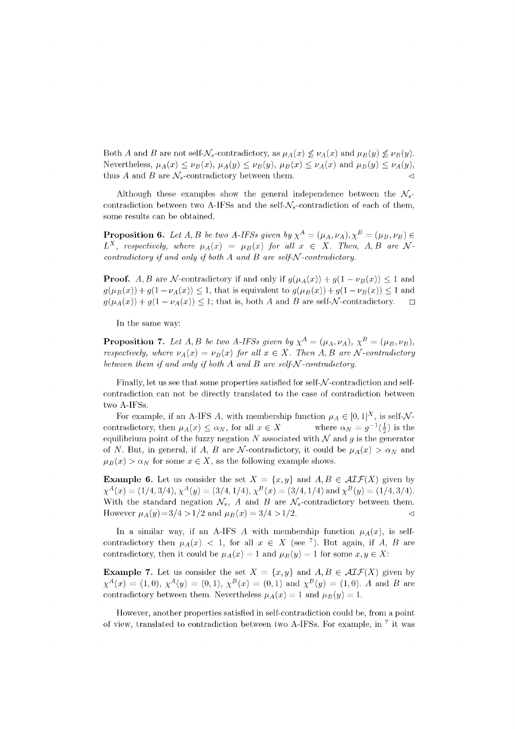Both *A* and *B* are not self- $\mathcal{N}_s$ -contradictory, as  $\mu_A(x) \nleq \nu_A(x)$  and  $\mu_B(y) \nleq \nu_B(y)$ . Nevertheless,  $\mu_A(x) \leq \nu_B(x)$ ,  $\mu_A(y) \leq \nu_B(y)$ ,  $\mu_B(x) \leq \nu_A(x)$  and  $\mu_B(y) \leq \nu_A(y)$ , thus A and B are  $\mathcal{N}_s$ -contradictory between them.  $\triangleleft$ 

Although these examples show the general independence between the  $\mathcal{N}_s$ contradiction between two A-IFSs and the self- $\mathcal{N}_s$ -contradiction of each of them, some results can be obtained.

**Proposition 6.** Let A, B be two A-IFSs given by  $\chi^A = (\mu_A, \nu_A), \chi^B = (\mu_B, \nu_B) \in$  $L^X$ , respectively, where  $\mu_A(x) = \mu_B(x)$  for all  $x \in X$ . Then, A, B are N*contradictory if and only if both A and B are self-* $N$ *-contradictory.* 

**Proof.** A, B are N-contradictory if and only if  $g(\mu_A(x)) + g(1 - \nu_B(x)) \leq 1$  and  $g(\mu_B(x)) + g(1 - \nu_A(x)) \leq 1$ , that is equivalent to  $g(\mu_B(x)) + g(1 - \nu_B(x)) \leq 1$  and  $g(\mu_A(x)) + g(1 - \nu_A(x)) \leq 1$ ; that is, both *A* and *B* are self-*N*-contradictory.  $\Box$ 

In the same way:

**Proposition 7.** Let A, B be two A-IFSs given by  $\chi^A = (\mu_A, \nu_A)$ ,  $\chi^B = (\mu_B, \nu_B)$ , *respectively, where*  $\nu_A(x) = \nu_B(x)$  for all  $x \in X$ . Then A, B are N-contradictory *between them if and only if both A and B are self-N-contradictory.* 

Finally, let us see that some properties satisfied for self- $\mathcal N$ -contradiction and selfcontradiction can not be directly translated to the case of contradiction between two A-IFSs.

For example, if an A-IFS A, with membership function  $\mu_A \in [0, 1]^X$ , is self-Ncontradictory, then  $\mu_A(x) \leq \alpha_N$ , for all  $x \in X$  $\binom{1}{2}$  is the equilibrium point of the fuzzy negation  $N$  associated with  $N$  and  $g$  is the generator of *N*. But, in general, if *A*, *B* are *N*-contradictory, it could be  $\mu_A(x) > \alpha_N$  and  $\mu_B(x) > \alpha_N$  for some  $x \in X$ , as the following example shows.

**Example 6.** Let us consider the set  $X = \{x, y\}$  and  $A, B \in \mathcal{AIF}(X)$  given by  $\chi^A(x) = (1/4, 3/4), \chi^A(y) = (3/4, 1/4), \chi^B(x) = (3/4, 1/4)$  and  $\chi^B(y) = (1/4, 3/4)$ . With the standard negation  $\mathcal{N}_s$ , A and B are  $\mathcal{N}_s$ -contradictory between them. However  $\mu_A(y)=3/4 > 1/2$  and  $\mu_B(x) = 3/4 > 1/2$ .

In a similar way, if an A-IFS A with membership function  $\mu_A(x)$ , is selfcontradictory then  $\mu_A(x)$  < 1, for all  $x \in X$  (see <sup>7</sup>). But again, if A, B are contradictory, then it could be  $\mu_A(x) = 1$  and  $\mu_B(y) = 1$  for some  $x, y \in X$ :

**Example 7.** Let us consider the set  $X = \{x, y\}$  and  $A, B \in \mathcal{AIF}(X)$  given by  $\chi^A(x) = (1,0), \, \chi^A(y) = (0,1), \, \chi^B(x) = (0,1)$  and  $\chi^B(y) = (1,0).$  *A* and *B* are contradictory between them. Nevertheless  $\mu_A(x) = 1$  and  $\mu_B(y) = 1$ .

However, another properties satisfied in self-contradiction could be, from a point of view, translated to contradiction between two A-IFSs. For example, in  $^7$  it was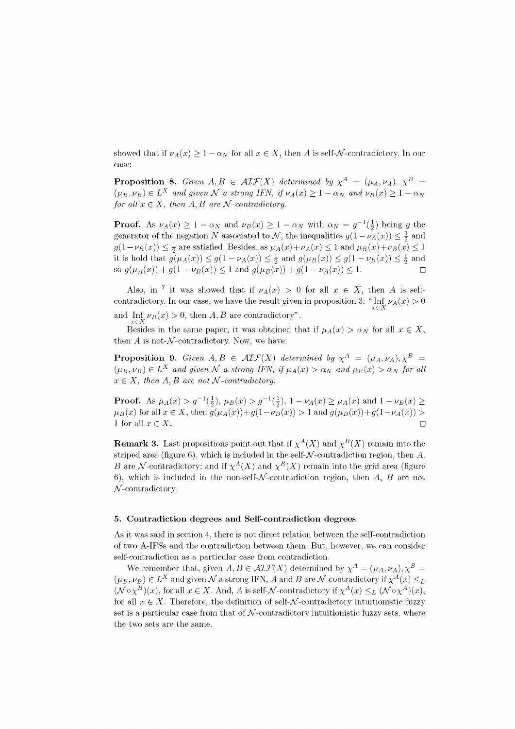showed that if  $\nu_A(x) \geq 1 - \alpha_N$  for all  $x \in X$ , then A is self-N-contradictory. In our case:

**Proposition 8.** Given  $A, B \in \mathcal{AIF}(X)$  determined by  $\chi^A = (\mu_A, \nu_A)$ ,  $\chi^B =$  $(\mu_B, \nu_B) \in L^X$  and given  $\mathcal N$  a strong IFN, if  $\nu_A(x) \geq 1 - \alpha_N$  and  $\nu_B(x) \geq 1 - \alpha_N$ *for all*  $x \in X$ *, then A, B are N-contradictory.* 

**Proof.** As  $\nu_A(x) \geq 1 - \alpha_N$  and  $\nu_B(x) \geq 1 - \alpha_N$  with  $\alpha_N = g^{-1}(\frac{1}{2})$  being g the generator of the negation *N* associated to *N*, the inequalities  $g(1 - \nu_A(x)) \leq \frac{1}{2}$  and  $g(1 - \nu_B(x)) \leq \frac{1}{2}$  are satisfied. Besides, as  $\mu_A(x) + \nu_A(x) \leq 1$  and  $\mu_B(x) + \nu_B(x) \leq 1$ it is hold that  $g(\mu_A(x)) \leq g(1 - \nu_A(x)) \leq \frac{1}{2}$  and  $g(\mu_B(x)) \leq g(1 - \nu_B(x)) \leq \frac{1}{2}$  and so  $g(\mu_A(x)) + g(1 - \nu_B(x)) \le 1$  and  $g(\mu_B(x)) + g(1 - \nu_A(x)) \le 1$ .

Also, in <sup>7</sup> it was showed that if  $\nu_A(x) > 0$  for all  $x \in X$ , then A is selfcontradictory. In our case, we have the result given in proposition 3: " $\inf_{x \in X} \nu_A(x) > 0$ and  $\inf_{x \in X} \nu_B(x) > 0$ , then  $A, B$  are contradictory".

Besides in the same paper, it was obtained that if  $\mu_A(x) > \alpha_N$  for all  $x \in X$ , then  $A$  is not- $\mathcal N$ -contradictory. Now, we have:

**Proposition 9.** Given  $A, B \in \mathcal{AIF}(X)$  determined by  $\chi^A = (\mu_A, \nu_A), \chi^B =$  $(\mu_B, \nu_B) \in L^X$  and given N a strong IFN, if  $\mu_A(x) > \alpha_N$  and  $\mu_B(x) > \alpha_N$  for all  $x \in X$ , then  $A, B$  are not  $\mathcal{N}$ -contradictory.

**Proof.** As  $\mu_A(x) > g^{-1}(\frac{1}{2}), \mu_B(x) > g^{-1}(\frac{1}{2}), 1 - \nu_A(x) \ge \mu_A(x)$  and  $1 - \nu_B(x) \ge$  $\mu_B(x)$  for all  $x \in X$ , then  $g(\mu_A(x)) + g(1 - \nu_B(x)) > 1$  and  $g(\mu_B(x)) + g(1 - \nu_A(x)) > 0$ 1 for all  $x \in X$ .

**Remark 3.** Last propositions point out that if  $\chi^A(X)$  and  $\chi^B(X)$  remain into the striped area (figure 6), which is included in the self- $\mathcal N$ -contradiction region, then  $A$ , *B* are *N*-contradictory; and if  $\chi^A(X)$  and  $\chi^B(X)$  remain into the grid area (figure 6), which is included in the non-self- $\mathcal N$ -contradiction region, then  $A, B$  are not  $N$ -contradictory.

## **5. Contradiction degree s and Self-contradiction degree s**

As it was said in section 4, there is not direct relation between the self-contradiction of two A-IFSs and the contradiction between them. But, however, we can consider self-contradiction as a particular case from contradiction.

We remember that, given  $A, B \in \mathcal{AIF}(X)$  determined by  $\chi^A = (\mu_A, \nu_A), \chi^B =$  $(\mu_B, \nu_B) \in L^X$  and given  $\mathcal N$  a strong IFN,  $A$  and  $B$  are  $\mathcal N$ -contradictory if  $\chi^A(x) \leq_L 1$  $(\mathcal{N} \circ \chi^B)(x)$ , for all  $x \in X$ . And, *A* is self-*N*-contradictory if  $\chi^A(x) \leq_L (\mathcal{N} \circ \chi^A)(x)$ , for all  $x \in X$ . Therefore, the definition of self- $\mathcal N$ -contradictory intuitionistic fuzzy set is a particular case from that of  $N$ -contradictory intuitionistic fuzzy sets, where the two sets are the same.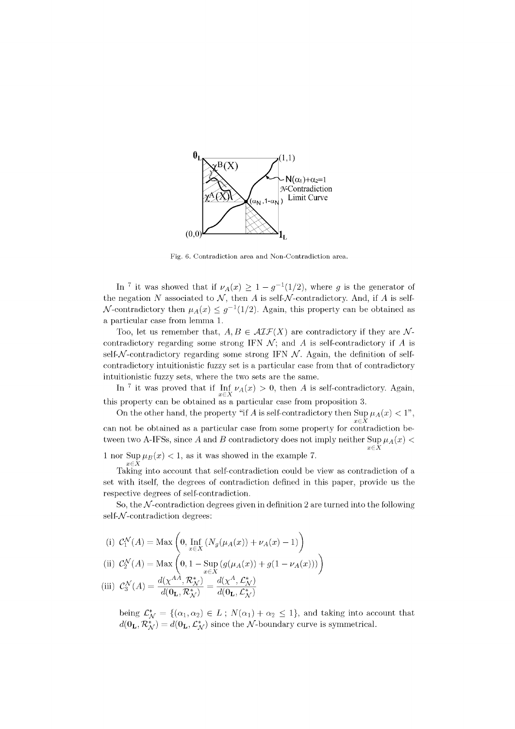

Fig. 6. Contradiction area and Non-Contradiction area.

In <sup>7</sup> it was showed that if  $\nu_A(x) \geq 1 - g^{-1}(1/2)$ , where *g* is the generator of the negation N associated to  $\mathcal{N}$ , then A is self-N-contradictory. And, if A is self-N-contradictory then  $\mu_A(x) \leq g^{-1}(1/2)$ . Again, this property can be obtained as a particular case from lemma 1.

Too, let us remember that,  $A, B \in \mathcal{AIF}(X)$  are contradictory if they are Ncontradictory regarding some strong IFN  $\mathcal{N}$ ; and  $\mathcal{A}$  is self-contradictory if  $\mathcal{A}$  is self- $\mathcal N$ -contradictory regarding some strong IFN  $\mathcal N$ . Again, the definition of selfcontradictory intuitionistic fuzzy set is a particular case from that of contradictory intuitionistic fuzzy sets, where the two sets are the same.

In<sup>7</sup> it was proved that if Inf<sub>*VA(x)* > 0, then *A* is self-contradictory. Again,</sub> *xEX*  this property can be obtained as a particular case from proposition 3.

On the other hand, the property "if *A* is self-contradictory then  $\sup_{x \in X} \mu_A(x) < 1$ ", can not be obtained as a particular case from some property for contradiction becan not be obtained as a particular case from some property for contradiction be $t_{\text{w}}$  and  $\lambda$  if  $\lambda$  is since  $\lambda$  and  $\lambda$  contradictory does not imply neither  $\sum_{x \in X} (x^{\lambda})^x$ 

1 nor  $\text{Sup }\mu_B(x) < 1$ , as it was showed in the example 7.

Taking into account that self-contradiction could be view as contradiction of a set with itself, the degrees of contradiction defined in this paper, provide us the respective degrees of self-contradiction.

So, the  $N$ -contradiction degrees given in definition 2 are turned into the following  $self-*N*-contradiction degrees:$ 

(i) 
$$
C_1^N(A) = \text{Max}\left(0, \text{Inf}_{x \in X}(N_g(\mu_A(x)) + \nu_A(x) - 1)\right)
$$

(ii) 
$$
C_2^N(A) = \text{Max} \left( 0, 1 - \text{Sup} \left( g(\mu_A(x)) + g(1 - \nu_A(x)) \right) \right)
$$

(iii) 
$$
\mathcal{C}_3^{\mathcal{N}}(A) = \frac{d(\chi^{AA}, \mathcal{R}_{\mathcal{N}}^*)}{d(\mathbf{0}_\mathbf{L}, \mathcal{R}_{\mathcal{N}}^*)} = \frac{d(\chi^A, \mathcal{L}_{\mathcal{N}}^*)}{d(\mathbf{0}_\mathbf{L}, \mathcal{L}_{\mathcal{N}}^*)}
$$

being  $\mathcal{L}_{\mathcal{N}}^* = \{(\alpha_1,\alpha_2) \in L$ ;  $N(\alpha_1) + \alpha_2 \leq 1\}$ , and taking into account that  $d(\mathbf{0_L}, \mathcal{R}_{\mathcal{N}}^*) = d(\mathbf{0_L}, \mathcal{L}_{\mathcal{N}}^*)$  since the  $\mathcal{N}\text{-boundary curve}$  is symmetrical.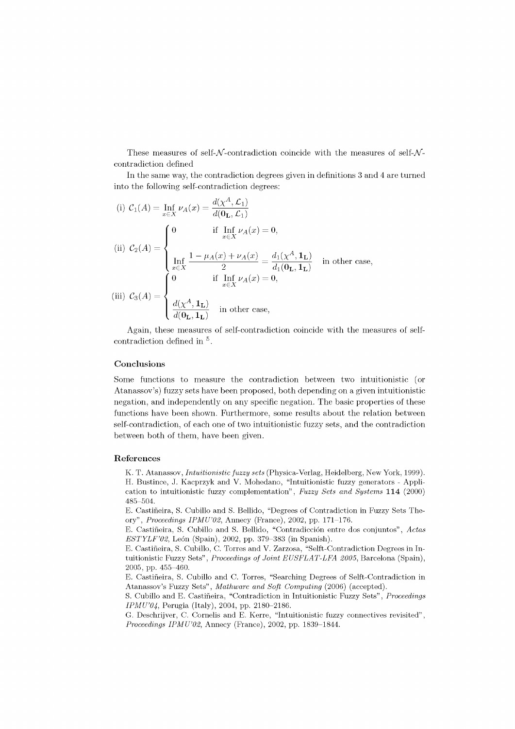These measures of self- $N$ -contradiction coincide with the measures of self- $N$ contradiction defined

In the same way, the contradiction degrees given in definitions 3 and 4 are turned into the following self-contradiction degrees:

(i) 
$$
C_1(A) = \inf_{x \in X} \nu_A(x) = \frac{d(\chi^A, \mathcal{L}_1)}{d(\mathbf{0}_\mathbf{L}, \mathcal{L}_1)}
$$
  
\n(ii) 
$$
C_2(A) = \begin{cases} 0 & \text{if } \inf_{x \in X} \nu_A(x) = 0, \\ \inf_{x \in X} \frac{1 - \mu_A(x) + \nu_A(x)}{2} = \frac{d_1(\chi^A, \mathbf{1}_\mathbf{L})}{d_1(\mathbf{0}_\mathbf{L}, \mathbf{1}_\mathbf{L})} & \text{in other case,} \\ \text{(iii) } C_3(A) = \begin{cases} 0 & \text{if } \inf_{x \in X} \nu_A(x) = 0, \\ \frac{d(\chi^A, \mathbf{1}_\mathbf{L})}{d(\mathbf{0}_\mathbf{L}, \mathbf{1}_\mathbf{L})} & \text{in other case,} \end{cases}
$$

Again, these measures of self-contradiction coincide with the measures of self- $\rm{contradiction\ defined\ in\ }^5.$ 

## **Conclusions**

Some functions to measure the contradiction between two intuitionistic (or Atanassov's) fuzzy sets have been proposed, both depending on a given intuitionistic negation, and independently on any specific negation. The basic properties of these functions have been shown. Furthermore, some results about the relation between self-contradiction, of each one of two intuitionistic fuzzy sets, and the contradiction between both of them, have been given.

#### **Reference s**

K. T. Atanassov, *Intuitionistic fuzzy sets* (Physica-Verlag, Heidelberg, New York, 1999). H. Bustince, J. Kacprzyk and V. Mohedano, "Intuitionistic fuzzy generators - Application to intuitionistic fuzzy complementation", *Fuzzy Sets and Systems* **114** (2000) 485-504.

E. Castifieira, S. Cubillo and S. Bellido, "Degrees of Contradiction in Fuzzy Sets Theory", *Proceedings IPMU'02,* Annecy (France), 2002, pp. 171-176.

E. Castifieira, S. Cubillo and S. Bellido, "Contradiccion entre dos conjuntos", *Adas ESTYLF'02*, León (Spain), 2002, pp. 379–383 (in Spanish).

E. Castifieira, S. Cubillo, C. Torres and V. Zarzosa, "Selft-Contradiction Degrees in Intuitionistic Fuzzy Sets", Proceedings of Joint EUSFLAT-LFA 2005, Barcelona (Spain), 2005, pp. 455-460.

E. Castifieira, S. Cubillo and C. Torres, "Searching Degrees of Selft-Contradiction in Atanassov's Fuzzy Sets", *Mathware and Soft Computing* (2006) (accepted).

S. Cubillo and E. Castifieira, "Contradiction in Intuitionistic Fuzzy Sets", *Proceedings IPMU'04,* Perugia (Italy), 2004, pp. 2180-2186.

G. Deschrijver, C. Cornelis and E. Kerre, "Intuitionistic fuzzy connectives revisited", *Proceedings IPMU'02,* Annecy (France), 2002, pp. 1839-1844.